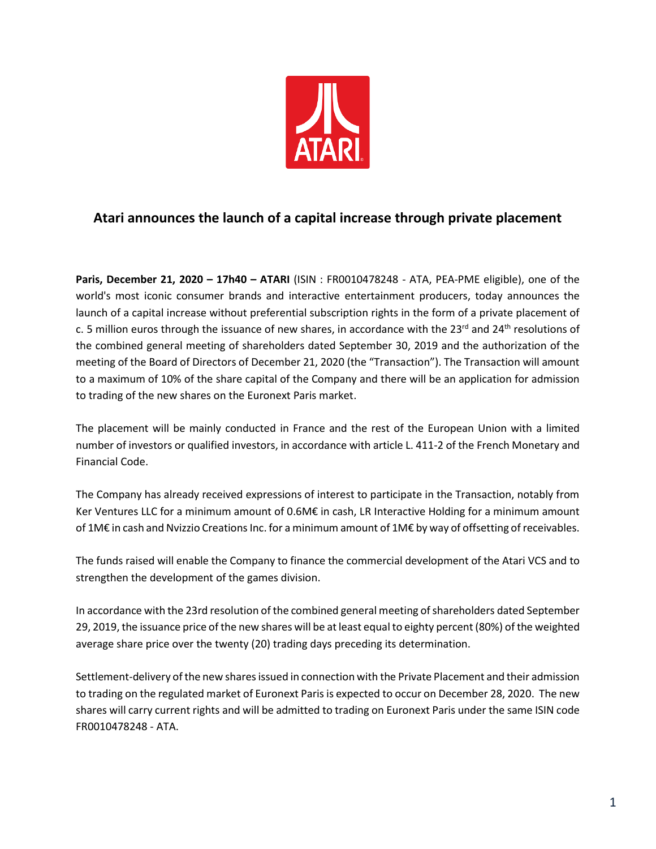

## **Atari announces the launch of a capital increase through private placement**

**Paris, December 21, 2020 – 17h40 – ATARI** (ISIN : FR0010478248 - ATA, PEA-PME eligible), one of the world's most iconic consumer brands and interactive entertainment producers, today announces the launch of a capital increase without preferential subscription rights in the form of a private placement of c. 5 million euros through the issuance of new shares, in accordance with the 23<sup>rd</sup> and 24<sup>th</sup> resolutions of the combined general meeting of shareholders dated September 30, 2019 and the authorization of the meeting of the Board of Directors of December 21, 2020 (the "Transaction"). The Transaction will amount to a maximum of 10% of the share capital of the Company and there will be an application for admission to trading of the new shares on the Euronext Paris market.

The placement will be mainly conducted in France and the rest of the European Union with a limited number of investors or qualified investors, in accordance with article L. 411-2 of the French Monetary and Financial Code.

The Company has already received expressions of interest to participate in the Transaction, notably from Ker Ventures LLC for a minimum amount of 0.6M€ in cash, LR Interactive Holding for a minimum amount of 1M€ in cash and Nvizzio Creations Inc. for a minimum amount of 1M€ by way of offsetting of receivables.

The funds raised will enable the Company to finance the commercial development of the Atari VCS and to strengthen the development of the games division.

In accordance with the 23rd resolution of the combined general meeting of shareholders dated September 29, 2019, the issuance price of the new shares will be at least equal to eighty percent (80%) of the weighted average share price over the twenty (20) trading days preceding its determination.

Settlement-delivery of the new shares issued in connection with the Private Placement and their admission to trading on the regulated market of Euronext Paris is expected to occur on December 28, 2020. The new shares will carry current rights and will be admitted to trading on Euronext Paris under the same ISIN code FR0010478248 - ATA.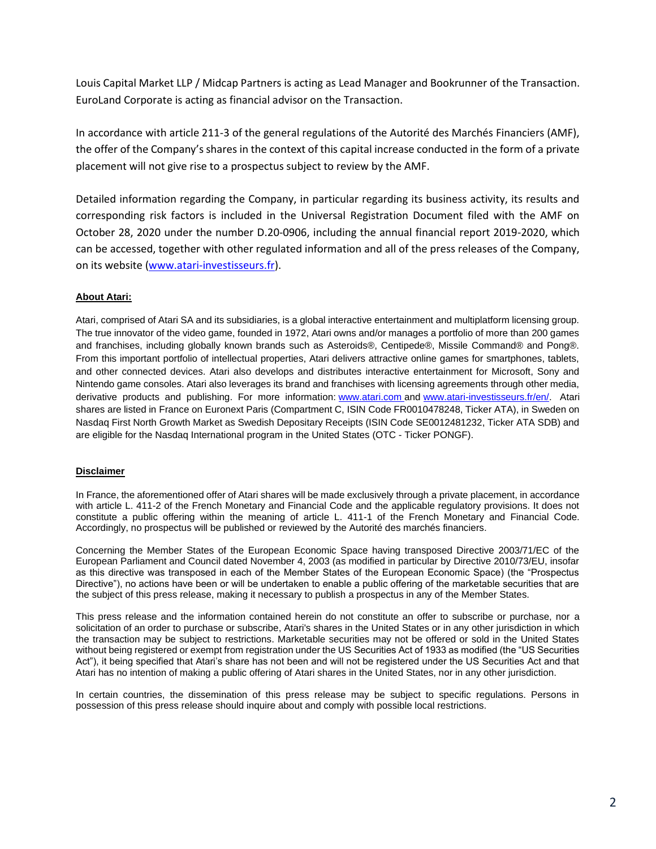Louis Capital Market LLP / Midcap Partners is acting as Lead Manager and Bookrunner of the Transaction. EuroLand Corporate is acting as financial advisor on the Transaction.

In accordance with article 211-3 of the general regulations of the Autorité des Marchés Financiers (AMF), the offer of the Company's shares in the context of this capital increase conducted in the form of a private placement will not give rise to a prospectus subject to review by the AMF.

Detailed information regarding the Company, in particular regarding its business activity, its results and corresponding risk factors is included in the Universal Registration Document filed with the AMF on October 28, 2020 under the number D.20-0906, including the annual financial report 2019-2020, which can be accessed, together with other regulated information and all of the press releases of the Company, on its website [\(www.atari-investisseurs.fr\)](http://www.atari-investisseurs.fr/).

## **About Atari:**

Atari, comprised of Atari SA and its subsidiaries, is a global interactive entertainment and multiplatform licensing group. The true innovator of the video game, founded in 1972, Atari owns and/or manages a portfolio of more than 200 games and franchises, including globally known brands such as Asteroids®, Centipede®, Missile Command® and Pong®. From this important portfolio of intellectual properties, Atari delivers attractive online games for smartphones, tablets, and other connected devices. Atari also develops and distributes interactive entertainment for Microsoft, Sony and Nintendo game consoles. Atari also leverages its brand and franchises with licensing agreements through other media, derivative products and publishing. For more information: [www.atari.com](https://c212.net/c/link/?t=0&l=en&o=2333252-1&h=811462502&u=http%3A%2F%2Fwww.atari.com%2F&a=www.atari.com) and [www.atari-investisseurs.fr/en/.](http://www.atari-investisseurs.fr/en/) Atari shares are listed in France on Euronext Paris (Compartment C, ISIN Code FR0010478248, Ticker ATA), in Sweden on Nasdaq First North Growth Market as Swedish Depositary Receipts (ISIN Code SE0012481232, Ticker ATA SDB) and are eligible for the Nasdaq International program in the United States (OTC - Ticker PONGF).

## **Disclaimer**

In France, the aforementioned offer of Atari shares will be made exclusively through a private placement, in accordance with article L. 411-2 of the French Monetary and Financial Code and the applicable regulatory provisions. It does not constitute a public offering within the meaning of article L. 411-1 of the French Monetary and Financial Code. Accordingly, no prospectus will be published or reviewed by the Autorité des marchés financiers.

Concerning the Member States of the European Economic Space having transposed Directive 2003/71/EC of the European Parliament and Council dated November 4, 2003 (as modified in particular by Directive 2010/73/EU, insofar as this directive was transposed in each of the Member States of the European Economic Space) (the "Prospectus Directive"), no actions have been or will be undertaken to enable a public offering of the marketable securities that are the subject of this press release, making it necessary to publish a prospectus in any of the Member States.

This press release and the information contained herein do not constitute an offer to subscribe or purchase, nor a solicitation of an order to purchase or subscribe, Atari's shares in the United States or in any other jurisdiction in which the transaction may be subject to restrictions. Marketable securities may not be offered or sold in the United States without being registered or exempt from registration under the US Securities Act of 1933 as modified (the "US Securities Act"), it being specified that Atari's share has not been and will not be registered under the US Securities Act and that Atari has no intention of making a public offering of Atari shares in the United States, nor in any other jurisdiction.

In certain countries, the dissemination of this press release may be subject to specific regulations. Persons in possession of this press release should inquire about and comply with possible local restrictions.